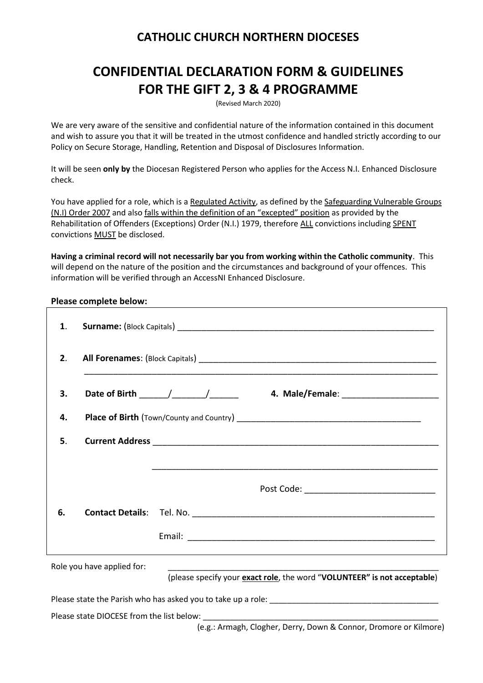### **CATHOLIC CHURCH NORTHERN DIOCESES**

# **CONFIDENTIAL DECLARATION FORM & GUIDELINES FOR THE GIFT 2, 3 & 4 PROGRAMME**

(Revised March 2020)

We are very aware of the sensitive and confidential nature of the information contained in this document and wish to assure you that it will be treated in the utmost confidence and handled strictly according to our Policy on Secure Storage, Handling, Retention and Disposal of Disclosures Information.

It will be seen **only by** the Diocesan Registered Person who applies for the Access N.I. Enhanced Disclosure check.

You have applied for a role, which is a Regulated Activity, as defined by the Safeguarding Vulnerable Groups (N.I) Order 2007 and also falls within the definition of an "excepted" position as provided by the Rehabilitation of Offenders (Exceptions) Order (N.I.) 1979, therefore ALL convictions including SPENT convictions MUST be disclosed.

**Having a criminal record will not necessarily bar you from working within the Catholic community**. This will depend on the nature of the position and the circumstances and background of your offences. This information will be verified through an AccessNI Enhanced Disclosure.

#### **Please complete below:**

| 1.                                        |  |                                                                          |  |  |  |  |
|-------------------------------------------|--|--------------------------------------------------------------------------|--|--|--|--|
| 2.                                        |  |                                                                          |  |  |  |  |
| 3.                                        |  |                                                                          |  |  |  |  |
| 4.                                        |  |                                                                          |  |  |  |  |
| 5.                                        |  |                                                                          |  |  |  |  |
|                                           |  |                                                                          |  |  |  |  |
|                                           |  |                                                                          |  |  |  |  |
| 6.                                        |  |                                                                          |  |  |  |  |
|                                           |  |                                                                          |  |  |  |  |
| Role you have applied for:                |  |                                                                          |  |  |  |  |
|                                           |  | (please specify your exact role, the word "VOLUNTEER" is not acceptable) |  |  |  |  |
|                                           |  |                                                                          |  |  |  |  |
| Please state DIOCESE from the list below: |  |                                                                          |  |  |  |  |

(e.g.: Armagh, Clogher, Derry, Down & Connor, Dromore or Kilmore)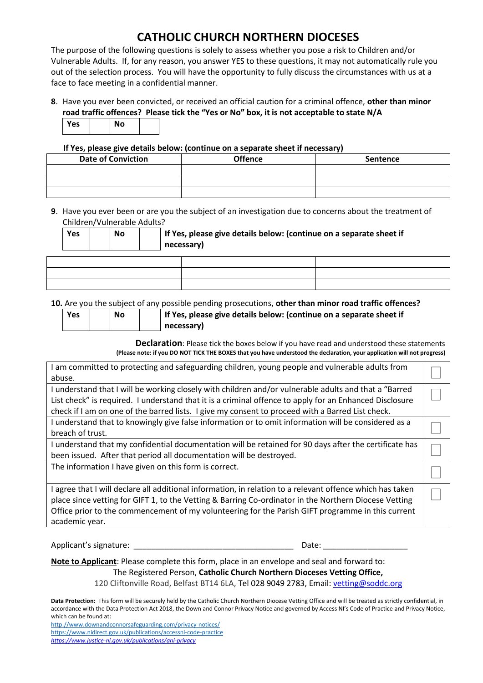## **CATHOLIC CHURCH NORTHERN DIOCESES**

The purpose of the following questions is solely to assess whether you pose a risk to Children and/or Vulnerable Adults. If, for any reason, you answer YES to these questions, it may not automatically rule you out of the selection process. You will have the opportunity to fully discuss the circumstances with us at a face to face meeting in a confidential manner.

**8**. Have you ever been convicted, or received an official caution for a criminal offence, **other than minor road traffic offences? Please tick the "Yes or No" box, it is not acceptable to state N/A**

|  | Yes | J٥ |  |
|--|-----|----|--|
|--|-----|----|--|

 **If Yes, please give details below: (continue on a separate sheet if necessary)**

| <b>Date of Conviction</b> | <b>Offence</b> | Sentence |
|---------------------------|----------------|----------|
|                           |                |          |
|                           |                |          |
|                           |                |          |

**9**. Have you ever been or are you the subject of an investigation due to concerns about the treatment of Children/Vulnerable Adults?

| Yes | <b>No</b> |  | If Yes, please give details below: (continue on a separate sheet if<br>necessary) |  |
|-----|-----------|--|-----------------------------------------------------------------------------------|--|
|     |           |  |                                                                                   |  |
|     |           |  |                                                                                   |  |

**10.** Are you the subject of any possible pending prosecutions, **other than minor road traffic offences?** 

| <b>Yes</b> | <b>No</b> |
|------------|-----------|
|            |           |

**Yes No If Yes, please give details below: (continue on a separate sheet if necessary)**

**Declaration**: Please tick the boxes below if you have read and understood these statements **(Please note: if you DO NOT TICK THE BOXES that you have understood the declaration, your application will not progress)**

| I am committed to protecting and safeguarding children, young people and vulnerable adults from<br>abuse.                                                                                                                                                                                                                                 |  |
|-------------------------------------------------------------------------------------------------------------------------------------------------------------------------------------------------------------------------------------------------------------------------------------------------------------------------------------------|--|
| I understand that I will be working closely with children and/or vulnerable adults and that a "Barred<br>List check" is required. I understand that it is a criminal offence to apply for an Enhanced Disclosure<br>check if I am on one of the barred lists. I give my consent to proceed with a Barred List check.                      |  |
| I understand that to knowingly give false information or to omit information will be considered as a<br>breach of trust.                                                                                                                                                                                                                  |  |
| I understand that my confidential documentation will be retained for 90 days after the certificate has<br>been issued. After that period all documentation will be destroyed.                                                                                                                                                             |  |
| The information I have given on this form is correct.                                                                                                                                                                                                                                                                                     |  |
| I agree that I will declare all additional information, in relation to a relevant offence which has taken<br>place since vetting for GIFT 1, to the Vetting & Barring Co-ordinator in the Northern Diocese Vetting<br>Office prior to the commencement of my volunteering for the Parish GIFT programme in this current<br>academic year. |  |

Applicant's signature: \_\_\_\_\_\_\_\_\_\_\_\_\_\_\_\_\_\_\_\_\_\_\_\_\_\_\_\_\_\_\_\_\_\_\_\_ Date: \_\_\_\_\_\_\_\_\_\_\_\_\_\_\_\_\_\_\_

**Note to Applicant**: Please complete this form, place in an envelope and seal and forward to: The Registered Person, **Catholic Church Northern Dioceses Vetting Office,** 

120 Cliftonville Road, Belfast BT14 6LA, Tel 028 9049 2783, Email[: vetting@soddc.org](mailto:vetting@soddc.org)

**Data Protection:** This form will be securely held by the Catholic Church Northern Diocese Vetting Office and will be treated as strictly confidential, in accordance with the Data Protection Act 2018, the Down and Connor Privacy Notice and governed by Access NI's Code of Practice and Privacy Notice, which can be found at: <http://www.downandconnorsafeguarding.com/privacy-notices/> <https://www.nidirect.gov.uk/publications/accessni-code-practice>

*<https://www.justice-ni.gov.uk/publications/ani-privacy>*